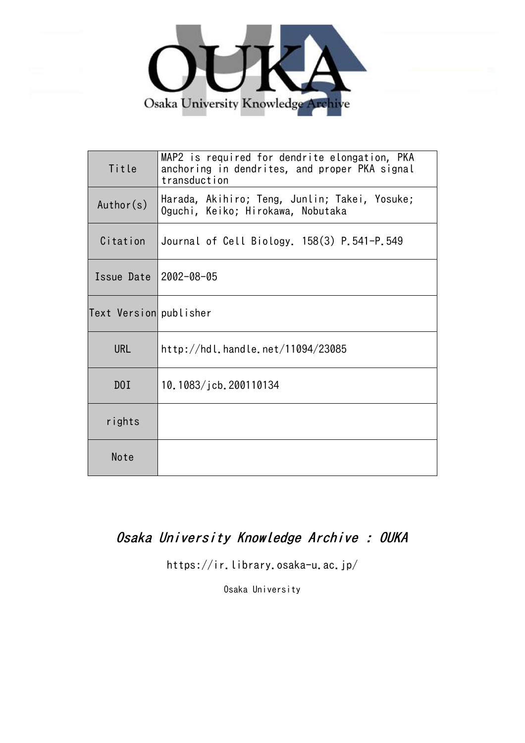

| Title                  | MAP2 is required for dendrite elongation, PKA<br>anchoring in dendrites, and proper PKA signal<br>transduction |
|------------------------|----------------------------------------------------------------------------------------------------------------|
| Author(s)              | Harada, Akihiro; Teng, Junlin; Takei, Yosuke;<br>Oguchi, Keiko; Hirokawa, Nobutaka                             |
| Citation               | Journal of Cell Biology. 158(3) P.541-P.549                                                                    |
| Issue Date 2002-08-05  |                                                                                                                |
| Text Version publisher |                                                                                                                |
| <b>URL</b>             | http://hdl.handle.net/11094/23085                                                                              |
| D <sub>0</sub> I       | 10.1083/jcb.200110134                                                                                          |
| rights                 |                                                                                                                |
| Note                   |                                                                                                                |

## Osaka University Knowledge Archive : OUKA

https://ir.library.osaka-u.ac.jp/

Osaka University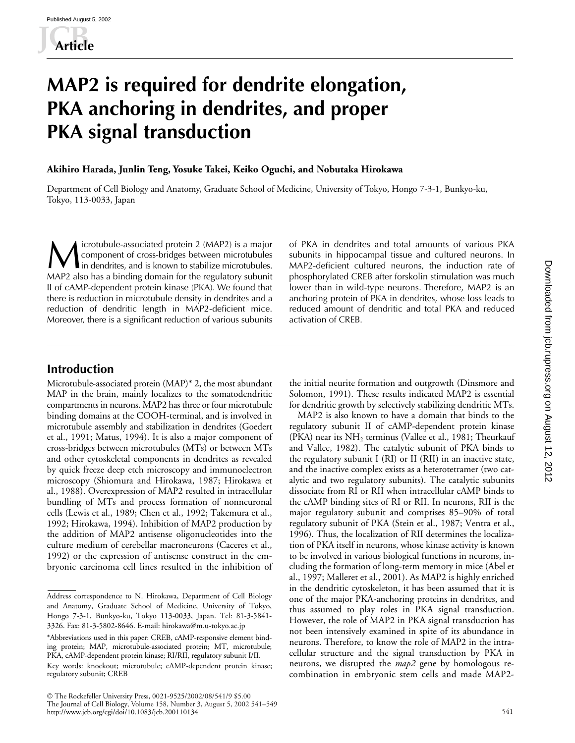# **MAP2 is required for dendrite elongation, PKA anchoring in dendrites, and proper PKA signal transduction**

#### **Akihiro Harada, Junlin Teng, Yosuke Takei, Keiko Oguchi, and Nobutaka Hirokawa**

Department of Cell Biology and Anatomy, Graduate School of Medicine, University of Tokyo, Hongo 7-3-1, Bunkyo-ku, Tokyo, 113-0033, Japan

icrotubule-associated protein 2 (MAP2) is a major component of cross-bridges between microtubules In dendrites, and is known to stabilize microtubules and total amounts of various PKA in dendrites and total amounts of various PKA subunits in hippocampal tissue and cultured neurons. In in dendrites, and is known to stab MAP2 also has a binding domain for the regulatory subunit II of cAMP-dependent protein kinase (PKA). We found that there is reduction in microtubule density in dendrites and a reduction of dendritic length in MAP2-deficient mice. Moreover, there is a significant reduction of various subunits

subunits in hippocampal tissue and cultured neurons. In MAP2-deficient cultured neurons, the induction rate of phosphorylated CREB after forskolin stimulation was much lower than in wild-type neurons. Therefore, MAP2 is an anchoring protein of PKA in dendrites, whose loss leads to reduced amount of dendritic and total PKA and reduced activation of CREB.

## **Introduction**

Microtubule-associated protein (MAP)\* 2, the most abundant MAP in the brain, mainly localizes to the somatodendritic compartments in neurons. MAP2 has three or four microtubule binding domains at the COOH-terminal, and is involved in microtubule assembly and stabilization in dendrites (Goedert et al., 1991; Matus, 1994). It is also a major component of cross-bridges between microtubules (MTs) or between MTs and other cytoskeletal components in dendrites as revealed by quick freeze deep etch microscopy and immunoelectron microscopy (Shiomura and Hirokawa, 1987; Hirokawa et al., 1988). Overexpression of MAP2 resulted in intracellular bundling of MTs and process formation of nonneuronal cells (Lewis et al., 1989; Chen et al., 1992; Takemura et al., 1992; Hirokawa, 1994). Inhibition of MAP2 production by the addition of MAP2 antisense oligonucleotides into the culture medium of cerebellar macroneurons (Caceres et al., 1992) or the expression of antisense construct in the embryonic carcinoma cell lines resulted in the inhibition of

 The Rockefeller University Press, 0021-9525/2002/08/541/9 \$5.00 The Journal of Cell Biology, Volume 158, Number 3, August 5, 2002 541–549 http://www.jcb.org/cgi/doi/10.1083/jcb.200110134

the initial neurite formation and outgrowth (Dinsmore and Solomon, 1991). These results indicated MAP2 is essential for dendritic growth by selectively stabilizing dendritic MTs.

MAP2 is also known to have a domain that binds to the regulatory subunit II of cAMP-dependent protein kinase (PKA) near its  $NH<sub>2</sub>$  terminus (Vallee et al., 1981; Theurkauf and Vallee, 1982). The catalytic subunit of PKA binds to the regulatory subunit I (RI) or II (RII) in an inactive state, and the inactive complex exists as a heterotetramer (two catalytic and two regulatory subunits). The catalytic subunits dissociate from RI or RII when intracellular cAMP binds to the cAMP binding sites of RI or RII. In neurons, RII is the major regulatory subunit and comprises 85–90% of total regulatory subunit of PKA (Stein et al., 1987; Ventra et al., 1996). Thus, the localization of RII determines the localization of PKA itself in neurons, whose kinase activity is known to be involved in various biological functions in neurons, including the formation of long-term memory in mice (Abel et al., 1997; Malleret et al., 2001). As MAP2 is highly enriched in the dendritic cytoskeleton, it has been assumed that it is one of the major PKA-anchoring proteins in dendrites, and thus assumed to play roles in PKA signal transduction. However, the role of MAP2 in PKA signal transduction has not been intensively examined in spite of its abundance in neurons. Therefore, to know the role of MAP2 in the intracellular structure and the signal transduction by PKA in neurons, we disrupted the *map2* gene by homologous recombination in embryonic stem cells and made MAP2-

Address correspondence to N. Hirokawa, Department of Cell Biology and Anatomy, Graduate School of Medicine, University of Tokyo, Hongo 7-3-1, Bunkyo-ku, Tokyo 113-0033, Japan. Tel: 81-3-5841- 3326. Fax: 81-3-5802-8646. E-mail: hirokawa@m.u-tokyo.ac.jp

<sup>\*</sup>Abbreviations used in this paper: CREB, cAMP-responsive element binding protein; MAP, microtubule-associated protein; MT, microtubule; PKA, cAMP-dependent protein kinase; RI/RII, regulatory subunit I/II. Key words: knockout; microtubule; cAMP-dependent protein kinase; regulatory subunit; CREB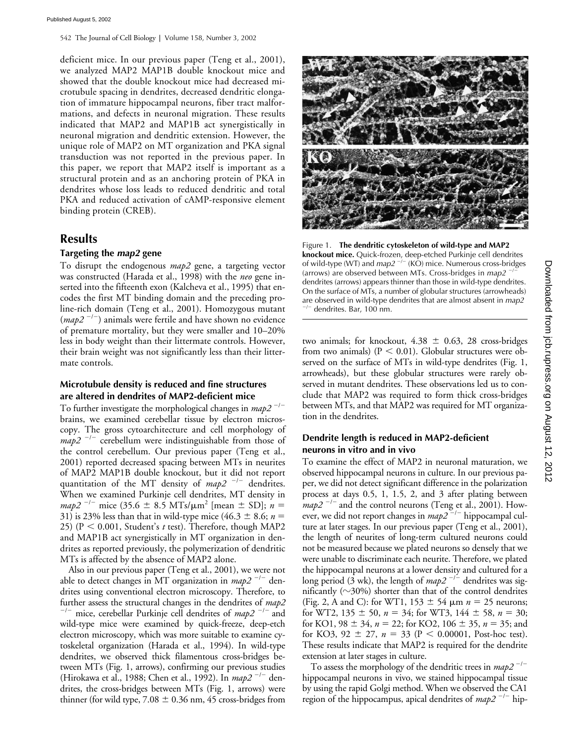deficient mice. In our previous paper (Teng et al., 2001), we analyzed MAP2 MAP1B double knockout mice and showed that the double knockout mice had decreased microtubule spacing in dendrites, decreased dendritic elongation of immature hippocampal neurons, fiber tract malformations, and defects in neuronal migration. These results indicated that MAP2 and MAP1B act synergistically in neuronal migration and dendritic extension. However, the unique role of MAP2 on MT organization and PKA signal transduction was not reported in the previous paper. In this paper, we report that MAP2 itself is important as a structural protein and as an anchoring protein of PKA in dendrites whose loss leads to reduced dendritic and total PKA and reduced activation of cAMP-responsive element binding protein (CREB).

## **Results**

#### **Targeting the** *map2* **gene**

To disrupt the endogenous *map2* gene, a targeting vector was constructed (Harada et al., 1998) with the *neo* gene inserted into the fifteenth exon (Kalcheva et al., 1995) that encodes the first MT binding domain and the preceding proline-rich domain (Teng et al., 2001). Homozygous mutant (*map2<sup>-/-</sup>*) animals were fertile and have shown no evidence of premature mortality, but they were smaller and 10–20% less in body weight than their littermate controls. However, their brain weight was not significantly less than their littermate controls.

#### **Microtubule density is reduced and fine structures are altered in dendrites of MAP2-deficient mice**

To further investigate the morphological changes in *map2*<sup>-/-</sup> brains, we examined cerebellar tissue by electron microscopy. The gross cytoarchitecture and cell morphology of  $map2$ <sup> $-/-$ </sup> cerebellum were indistinguishable from those of the control cerebellum. Our previous paper (Teng et al., 2001) reported decreased spacing between MTs in neurites of MAP2 MAP1B double knockout, but it did not report quantitation of the MT density of *map2*<sup>-/-</sup> dendrites. When we examined Purkinje cell dendrites, MT density in  $map2^{-1}$  mice (35.6  $\pm$  8.5 MTs/ $\mu$ m<sup>2</sup> [mean  $\pm$  SD]; *n* = 31) is 23% less than that in wild-type mice (46.3  $\pm$  8.6; *n* = 25) ( $P < 0.001$ , Student's *t* test). Therefore, though MAP2 and MAP1B act synergistically in MT organization in dendrites as reported previously, the polymerization of dendritic MTs is affected by the absence of MAP2 alone.

Also in our previous paper (Teng et al., 2001), we were not able to detect changes in MT organization in *map2*<sup>-/-</sup> dendrites using conventional electron microscopy. Therefore, to further assess the structural changes in the dendrites of  $map2$ <sup>--</sup> mice, cerebellar Purkinje cell dendrites of *map2*<sup>-/-</sup> and wild-type mice were examined by quick-freeze, deep-etch electron microscopy, which was more suitable to examine cytoskeletal organization (Harada et al., 1994). In wild-type dendrites, we observed thick filamentous cross-bridges between MTs (Fig. 1, arrows), confirming our previous studies (Hirokawa et al., 1988; Chen et al., 1992). In *map2*<sup>-/-</sup> dendrites, the cross-bridges between MTs (Fig. 1, arrows) were thinner (for wild type,  $7.08 \pm 0.36$  nm, 45 cross-bridges from



Figure 1. **The dendritic cytoskeleton of wild-type and MAP2 knockout mice.** Quick-frozen, deep-etched Purkinje cell dendrites of wild-type (WT) and *map2*<sup>-/-</sup> (KO) mice. Numerous cross-bridges (arrows) are observed between MTs. Cross-bridges in *map2* -/dendrites (arrows) appears thinner than those in wild-type dendrites. On the surface of MTs, a number of globular structures (arrowheads) are observed in wild-type dendrites that are almost absent in *map2* -/dendrites. Bar, 100 nm.

two animals; for knockout,  $4.38 \pm 0.63$ , 28 cross-bridges from two animals) ( $P < 0.01$ ). Globular structures were observed on the surface of MTs in wild-type dendrites (Fig. 1, arrowheads), but these globular structures were rarely observed in mutant dendrites. These observations led us to conclude that MAP2 was required to form thick cross-bridges between MTs, and that MAP2 was required for MT organization in the dendrites.

#### **Dendrite length is reduced in MAP2-deficient neurons in vitro and in vivo**

To examine the effect of MAP2 in neuronal maturation, we observed hippocampal neurons in culture. In our previous paper, we did not detect significant difference in the polarization process at days 0.5, 1, 1.5, 2, and 3 after plating between  $map2$ <sup>-/-</sup> and the control neurons (Teng et al., 2001). However, we did not report changes in *map2*<sup>-/-</sup> hippocampal culture at later stages. In our previous paper (Teng et al., 2001), the length of neurites of long-term cultured neurons could not be measured because we plated neurons so densely that we were unable to discriminate each neurite. Therefore, we plated the hippocampal neurons at a lower density and cultured for a long period (3 wk), the length of  $map2^{-/-}$  dendrites was significantly ( $\sim$ 30%) shorter than that of the control dendrites (Fig. 2, A and C): for WT1,  $153 \pm 54$   $\mu$ m  $n = 25$  neurons; for WT2,  $135 \pm 50$ ,  $n = 34$ ; for WT3,  $144 \pm 58$ ,  $n = 30$ ; for KO1,  $98 \pm 34$ ,  $n = 22$ ; for KO2,  $106 \pm 35$ ,  $n = 35$ ; and for KO3, 92  $\pm$  27,  $n = 33$  (P < 0.00001, Post-hoc test). These results indicate that MAP2 is required for the dendrite extension at later stages in culture.

To assess the morphology of the dendritic trees in *map2<sup>-/-</sup>* hippocampal neurons in vivo, we stained hippocampal tissue by using the rapid Golgi method. When we observed the CA1 region of the hippocampus, apical dendrites of *map2*<sup>-/-</sup> hip-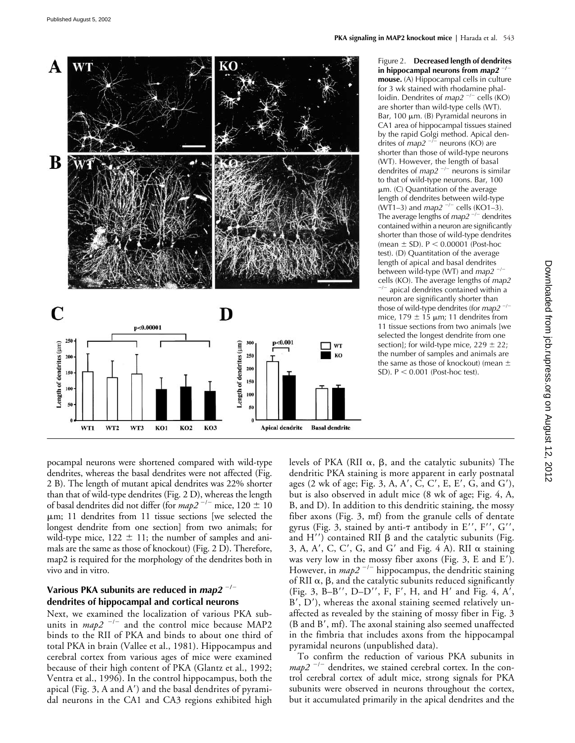

Figure 2. **Decreased length of dendrites in hippocampal neurons from** *map2* -**/mouse.** (A) Hippocampal cells in culture for 3 wk stained with rhodamine phalloidin. Dendrites of *map2*<sup>-/-</sup> cells (KO) are shorter than wild-type cells (WT). Bar, 100  $\mu$ m. (B) Pyramidal neurons in CA1 area of hippocampal tissues stained by the rapid Golgi method. Apical dendrites of *map2*<sup>-/-</sup> neurons (KO) are shorter than those of wild-type neurons (WT). However, the length of basal dendrites of *map2*<sup>-/-</sup> neurons is similar to that of wild-type neurons. Bar, 100  $µm.$  (C) Quantitation of the average length of dendrites between wild-type (WT1–3) and *map2*<sup>-/-</sup> cells (KO1–3). The average lengths of *map2<sup>-/-</sup>* dendrites contained within a neuron are significantly shorter than those of wild-type dendrites (mean  $\pm$  SD). P  $\leq$  0.00001 (Post-hoc test). (D) Quantitation of the average length of apical and basal dendrites between wild-type (WT) and *map2*<sup>-/-</sup> cells (KO). The average lengths of *map2*

-/ apical dendrites contained within a neuron are significantly shorter than those of wild-type dendrites (for *map2* -/ mice,  $179 \pm 15$  µm; 11 dendrites from 11 tissue sections from two animals [we selected the longest dendrite from one section]; for wild-type mice,  $229 \pm 22$ ; the number of samples and animals are the same as those of knockout) (mean  $\pm$ SD).  $P < 0.001$  (Post-hoc test).

pocampal neurons were shortened compared with wild-type dendrites, whereas the basal dendrites were not affected (Fig. 2 B). The length of mutant apical dendrites was 22% shorter than that of wild-type dendrites (Fig. 2 D), whereas the length of basal dendrites did not differ (for  $map2^{-/-}$  mice,  $120 \pm 10$ m; 11 dendrites from 11 tissue sections [we selected the longest dendrite from one section] from two animals; for wild-type mice,  $122 \pm 11$ ; the number of samples and animals are the same as those of knockout) (Fig. 2 D). Therefore, map2 is required for the morphology of the dendrites both in vivo and in vitro.

### **Various PKA subunits are reduced in** *map2* -**/ dendrites of hippocampal and cortical neurons**

Next, we examined the localization of various PKA subunits in  $map2^{-l-}$  and the control mice because MAP2 binds to the RII of PKA and binds to about one third of total PKA in brain (Vallee et al., 1981). Hippocampus and cerebral cortex from various ages of mice were examined because of their high content of PKA (Glantz et al., 1992; Ventra et al., 1996). In the control hippocampus, both the apical (Fig. 3, A and  $A'$ ) and the basal dendrites of pyramidal neurons in the CA1 and CA3 regions exhibited high

levels of PKA (RII  $\alpha$ ,  $\beta$ , and the catalytic subunits) The dendritic PKA staining is more apparent in early postnatal ages (2 wk of age; Fig. 3, A, A', C, C', E, E', G, and G'), but is also observed in adult mice (8 wk of age; Fig. 4, A, B, and D). In addition to this dendritic staining, the mossy fiber axons (Fig. 3, mf) from the granule cells of dentate gyrus (Fig. 3, stained by anti- $\tau$  antibody in E'', F'', G'', and  $H'$ ) contained RII  $\beta$  and the catalytic subunits (Fig. 3, A, A', C, C', G, and G' and Fig. 4 A). RII  $\alpha$  staining was very low in the mossy fiber axons (Fig. 3, E and E). However, in *map2*<sup>-/-</sup> hippocampus, the dendritic staining of RII  $\alpha$ ,  $\beta$ , and the catalytic subunits reduced significantly (Fig. 3, B-B'', D-D'', F, F', H, and H' and Fig. 4, A', B', D'), whereas the axonal staining seemed relatively unaffected as revealed by the staining of mossy fiber in Fig. 3 (B and B', mf). The axonal staining also seemed unaffected in the fimbria that includes axons from the hippocampal pyramidal neurons (unpublished data).

To confirm the reduction of various PKA subunits in  $map2$ <sup> $-/-$ </sup> dendrites, we stained cerebral cortex. In the control cerebral cortex of adult mice, strong signals for PKA subunits were observed in neurons throughout the cortex, but it accumulated primarily in the apical dendrites and the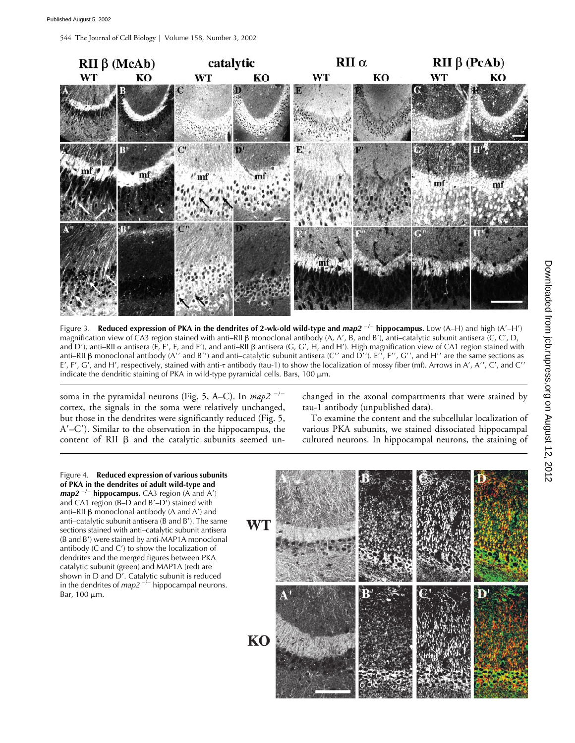544 The Journal of Cell Biology **|** Volume 158, Number 3, 2002



Figure 3. Reduced expression of PKA in the dendrites of 2-wk-old wild-type and  $map2^{-/-}$  hippocampus. Low (A–H) and high (A'–H') magnification view of CA3 region stained with anti–RII  $\beta$  monoclonal antibody (A, A', B, and B'), anti–catalytic subunit antisera (C, C', D, and D'), anti–RII  $\alpha$  antisera (E, E', F, and F'), and anti–RII  $\beta$  antisera (G, G', H, and H'). High magnification view of CA1 region stained with anti–RII  $\beta$  monoclonal antibody (A'' and B'') and anti–catalytic subunit antisera (C'' and D''). E'', F'', G'', and H'' are the same sections as E', F', G', and H', respectively, stained with anti-<del>1</del> antibody (tau-1) to show the localization of mossy fiber (mf). Arrows in A', A'', C', and C'' indicate the dendritic staining of PKA in wild-type pyramidal cells. Bars,  $100 \mu m$ .

soma in the pyramidal neurons (Fig. 5, A–C). In *map2*<sup>-/-</sup> cortex, the signals in the soma were relatively unchanged, but those in the dendrites were significantly reduced (Fig. 5, A–C). Similar to the observation in the hippocampus, the content of RII  $\beta$  and the catalytic subunits seemed unchanged in the axonal compartments that were stained by tau-1 antibody (unpublished data).

To examine the content and the subcellular localization of various PKA subunits, we stained dissociated hippocampal cultured neurons. In hippocampal neurons, the staining of

Figure 4. **Reduced expression of various subunits of PKA in the dendrites of adult wild-type and**  *map2*<sup>-/-</sup> hippocampus. CA3 region (A and A') and CA1 region (B–D and  $B'$ –D<sup>'</sup>) stained with anti–RII  $\beta$  monoclonal antibody (A and A') and anti–catalytic subunit antisera ( $\overline{B}$  and  $\overline{B}$ ). The same sections stained with anti–catalytic subunit antisera (B and B') were stained by anti-MAP1A monoclonal antibody (C and C') to show the localization of dendrites and the merged figures between PKA catalytic subunit (green) and MAP1A (red) are shown in D and D'. Catalytic subunit is reduced in the dendrites of  $map2^{-j-}$  hippocampal neurons. Bar, 100 μm.

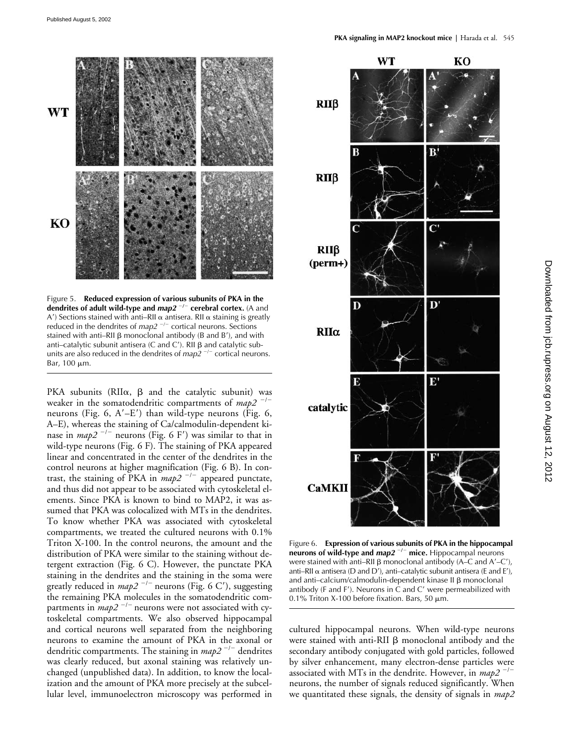

Figure 5. **Reduced expression of various subunits of PKA in the dendrites of adult wild-type and** *map2***<sup>-/-</sup> cerebral cortex. (A and** A') Sections stained with anti–RII  $\alpha$  antisera. RII  $\alpha$  staining is greatly reduced in the dendrites of *map2*<sup>-/-</sup> cortical neurons. Sections stained with anti–RII  $\beta$  monoclonal antibody (B and B'), and with anti-catalytic subunit antisera (C and C'). RII  $\beta$  and catalytic subunits are also reduced in the dendrites of *map2*<sup>-/-</sup> cortical neurons. Bar,  $100 \mu m$ .

PKA subunits (RII $\alpha$ ,  $\beta$  and the catalytic subunit) was weaker in the somatodendritic compartments of *map2*<sup>-/-</sup> neurons (Fig. 6,  $A'-E'$ ) than wild-type neurons (Fig. 6, A–E), whereas the staining of Ca/calmodulin-dependent kinase in *map2*<sup>-/-</sup> neurons (Fig. 6 F') was similar to that in wild-type neurons (Fig. 6 F). The staining of PKA appeared linear and concentrated in the center of the dendrites in the control neurons at higher magnification (Fig. 6 B). In contrast, the staining of PKA in  $map2^{-/-}$  appeared punctate, and thus did not appear to be associated with cytoskeletal elements. Since PKA is known to bind to MAP2, it was assumed that PKA was colocalized with MTs in the dendrites. To know whether PKA was associated with cytoskeletal compartments, we treated the cultured neurons with 0.1% Triton X-100. In the control neurons, the amount and the distribution of PKA were similar to the staining without detergent extraction (Fig. 6 C). However, the punctate PKA staining in the dendrites and the staining in the soma were greatly reduced in *map2*<sup>-/-</sup> neurons (Fig. 6 C'), suggesting the remaining PKA molecules in the somatodendritic compartments in *map2*<sup>-/-</sup> neurons were not associated with cytoskeletal compartments. We also observed hippocampal and cortical neurons well separated from the neighboring neurons to examine the amount of PKA in the axonal or dendritic compartments. The staining in *map2* <sup>-/-</sup> dendrites was clearly reduced, but axonal staining was relatively unchanged (unpublished data). In addition, to know the localization and the amount of PKA more precisely at the subcellular level, immunoelectron microscopy was performed in



Figure 6. **Expression of various subunits of PKA in the hippocampal neurons of wild-type and** *map2* -**/**- **mice.** Hippocampal neurons were stained with anti–RII  $\beta$  monoclonal antibody (A–C and A'–C'), anti–RII  $\alpha$  antisera (D and D'), anti–catalytic subunit antisera (E and E'), and anti-calcium/calmodulin-dependent kinase II ß monoclonal antibody (F and F'). Neurons in  $\dot{C}$  and  $C'$  were permeabilized with 0.1% Triton X-100 before fixation. Bars, 50  $\mu$ m.

cultured hippocampal neurons. When wild-type neurons were stained with anti-RII  $\beta$  monoclonal antibody and the secondary antibody conjugated with gold particles, followed by silver enhancement, many electron-dense particles were associated with MTs in the dendrite. However, in *map2* <sup>-/-</sup> neurons, the number of signals reduced significantly. When we quantitated these signals, the density of signals in *map2*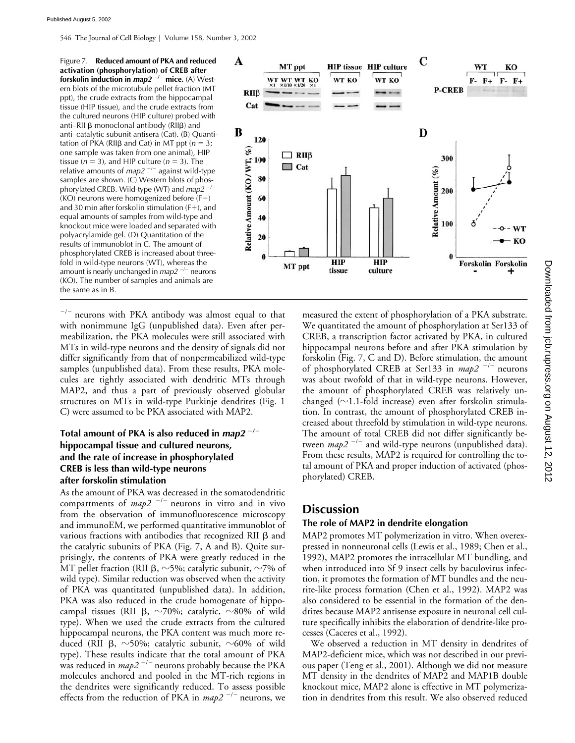546 The Journal of Cell Biology **|** Volume 158, Number 3, 2002

Figure 7. **Reduced amount of PKA and reduced activation (phosphorylation) of CREB after forskolin induction in** *map2* -/- mice. (A) Western blots of the microtubule pellet fraction (MT ppt), the crude extracts from the hippocampal tissue (HIP tissue), and the crude extracts from the cultured neurons (HIP culture) probed with anti–RII  $\beta$  monoclonal antibody (RII $\beta$ ) and anti–catalytic subunit antisera (Cat). (B) Quantitation of PKA (RII $\beta$  and Cat) in MT ppt ( $n = 3$ ; one sample was taken from one animal), HIP tissue  $(n = 3)$ , and HIP culture  $(n = 3)$ . The relative amounts of *map2*<sup>-/-</sup> against wild-type samples are shown. (C) Western blots of phosphorylated CREB. Wild-type (WT) and *map2* -/-(KO) neurons were homogenized before (F-) and 30 min after forskolin stimulation  $(F+)$ , and equal amounts of samples from wild-type and knockout mice were loaded and separated with polyacrylamide gel. (D) Quantitation of the results of immunoblot in C. The amount of phosphorylated CREB is increased about threefold in wild-type neurons (WT), whereas the amount is nearly unchanged in *map2<sup>-/-</sup>* neurons (KO). The number of samples and animals are the same as in B.



 $^{-/-}$  neurons with PKA antibody was almost equal to that with nonimmune IgG (unpublished data). Even after permeabilization, the PKA molecules were still associated with MTs in wild-type neurons and the density of signals did not differ significantly from that of nonpermeabilized wild-type samples (unpublished data). From these results, PKA molecules are tightly associated with dendritic MTs through MAP2, and thus a part of previously observed globular structures on MTs in wild-type Purkinje dendrites (Fig. 1 C) were assumed to be PKA associated with MAP2.

### **Total amount of PKA is also reduced in** *map2* -**/ hippocampal tissue and cultured neurons, and the rate of increase in phosphorylated CREB is less than wild-type neurons after forskolin stimulation**

As the amount of PKA was decreased in the somatodendritic compartments of  $map2^{-/-}$  neurons in vitro and in vivo from the observation of immunofluorescence microscopy and immunoEM, we performed quantitative immunoblot of various fractions with antibodies that recognized RII  $\beta$  and the catalytic subunits of PKA (Fig. 7, A and B). Quite surprisingly, the contents of PKA were greatly reduced in the MT pellet fraction (RII  $\beta$ ,  $\sim$ 5%; catalytic subunit,  $\sim$ 7% of wild type). Similar reduction was observed when the activity of PKA was quantitated (unpublished data). In addition, PKA was also reduced in the crude homogenate of hippocampal tissues (RII  $\beta$ ,  $\sim$ 70%; catalytic,  $\sim$ 80% of wild type). When we used the crude extracts from the cultured hippocampal neurons, the PKA content was much more reduced (RII  $\beta$ , ~50%; catalytic subunit, ~60% of wild type). These results indicate that the total amount of PKA was reduced in *map2*<sup>-/-</sup> neurons probably because the PKA molecules anchored and pooled in the MT-rich regions in the dendrites were significantly reduced. To assess possible effects from the reduction of PKA in *map2*<sup>-/-</sup> neurons, we

measured the extent of phosphorylation of a PKA substrate. We quantitated the amount of phosphorylation at Ser133 of CREB, a transcription factor activated by PKA, in cultured hippocampal neurons before and after PKA stimulation by forskolin (Fig. 7, C and D). Before stimulation, the amount of phosphorylated CREB at Ser133 in *map2*<sup>-/-</sup> neurons was about twofold of that in wild-type neurons. However, the amount of phosphorylated CREB was relatively unchanged ( $\sim$ 1.1-fold increase) even after forskolin stimulation. In contrast, the amount of phosphorylated CREB increased about threefold by stimulation in wild-type neurons. The amount of total CREB did not differ significantly between  $map2^{-/-}$  and wild-type neurons (unpublished data). From these results, MAP2 is required for controlling the total amount of PKA and proper induction of activated (phosphorylated) CREB.

## **Discussion**

#### **The role of MAP2 in dendrite elongation**

MAP2 promotes MT polymerization in vitro. When overexpressed in nonneuronal cells (Lewis et al., 1989; Chen et al., 1992), MAP2 promotes the intracellular MT bundling, and when introduced into Sf 9 insect cells by baculovirus infection, it promotes the formation of MT bundles and the neurite-like process formation (Chen et al., 1992). MAP2 was also considered to be essential in the formation of the dendrites because MAP2 antisense exposure in neuronal cell culture specifically inhibits the elaboration of dendrite-like processes (Caceres et al., 1992).

We observed a reduction in MT density in dendrites of MAP2-deficient mice, which was not described in our previous paper (Teng et al., 2001). Although we did not measure MT density in the dendrites of MAP2 and MAP1B double knockout mice, MAP2 alone is effective in MT polymerization in dendrites from this result. We also observed reduced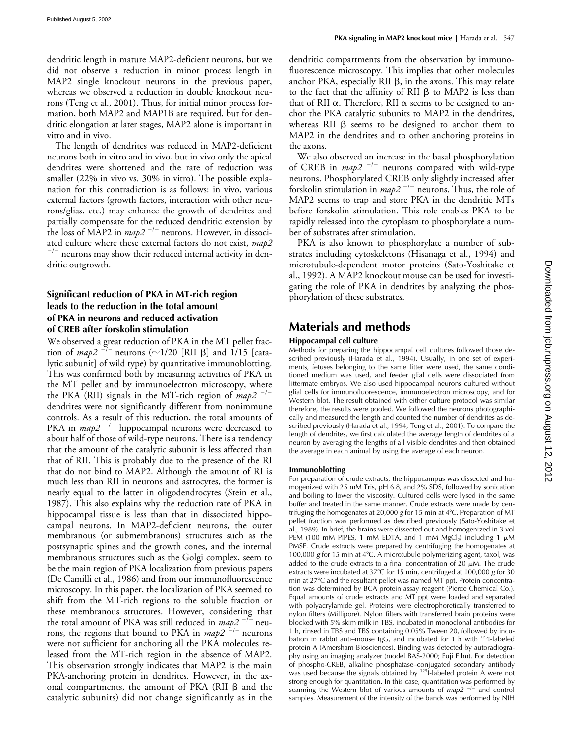dendritic length in mature MAP2-deficient neurons, but we did not observe a reduction in minor process length in MAP2 single knockout neurons in the previous paper, whereas we observed a reduction in double knockout neurons (Teng et al., 2001). Thus, for initial minor process formation, both MAP2 and MAP1B are required, but for dendritic elongation at later stages, MAP2 alone is important in vitro and in vivo.

The length of dendrites was reduced in MAP2-deficient neurons both in vitro and in vivo, but in vivo only the apical dendrites were shortened and the rate of reduction was smaller (22% in vivo vs. 30% in vitro). The possible explanation for this contradiction is as follows: in vivo, various external factors (growth factors, interaction with other neurons/glias, etc.) may enhance the growth of dendrites and partially compensate for the reduced dendritic extension by the loss of MAP2 in  $map2^{-/-}$  neurons. However, in dissociated culture where these external factors do not exist,  $map2$  $\sim$  neurons may show their reduced internal activity in dendritic outgrowth.

#### **Significant reduction of PKA in MT-rich region leads to the reduction in the total amount of PKA in neurons and reduced activation of CREB after forskolin stimulation**

We observed a great reduction of PKA in the MT pellet fraction of *map2*  $^{-1}$  neurons ( $\sim$ 1/20 [RII  $\beta$ ] and 1/15 [catalytic subunit] of wild type) by quantitative immunoblotting. This was confirmed both by measuring activities of PKA in the MT pellet and by immunoelectron microscopy, where the PKA (RII) signals in the MT-rich region of *map2*<sup>-/-</sup> dendrites were not significantly different from nonimmune controls. As a result of this reduction, the total amounts of PKA in *map2*<sup>-/-</sup> hippocampal neurons were decreased to about half of those of wild-type neurons. There is a tendency that the amount of the catalytic subunit is less affected than that of RII. This is probably due to the presence of the RI that do not bind to MAP2. Although the amount of RI is much less than RII in neurons and astrocytes, the former is nearly equal to the latter in oligodendrocytes (Stein et al., 1987). This also explains why the reduction rate of PKA in hippocampal tissue is less than that in dissociated hippocampal neurons. In MAP2-deficient neurons, the outer membranous (or submembranous) structures such as the postsynaptic spines and the growth cones, and the internal membranous structures such as the Golgi complex, seem to be the main region of PKA localization from previous papers (De Camilli et al., 1986) and from our immunofluorescence microscopy. In this paper, the localization of PKA seemed to shift from the MT-rich regions to the soluble fraction or these membranous structures. However, considering that the total amount of PKA was still reduced in  $map2^{-/-}$  neurons, the regions that bound to PKA in *map2*<sup>-/-</sup> neurons were not sufficient for anchoring all the PKA molecules released from the MT-rich region in the absence of MAP2. This observation strongly indicates that MAP2 is the main PKA-anchoring protein in dendrites. However, in the axonal compartments, the amount of PKA (RII  $\beta$  and the catalytic subunits) did not change significantly as in the dendritic compartments from the observation by immunofluorescence microscopy. This implies that other molecules anchor PKA, especially RII  $\beta$ , in the axons. This may relate to the fact that the affinity of RII  $\beta$  to MAP2 is less than that of RII  $\alpha$ . Therefore, RII  $\alpha$  seems to be designed to anchor the PKA catalytic subunits to MAP2 in the dendrites, whereas RII  $\beta$  seems to be designed to anchor them to MAP2 in the dendrites and to other anchoring proteins in the axons.

We also observed an increase in the basal phosphorylation of CREB in *map2*<sup>-/-</sup> neurons compared with wild-type neurons. Phosphorylated CREB only slightly increased after forskolin stimulation in *map2*<sup>-/-</sup> neurons. Thus, the role of MAP2 seems to trap and store PKA in the dendritic MTs before forskolin stimulation. This role enables PKA to be rapidly released into the cytoplasm to phosphorylate a number of substrates after stimulation.

PKA is also known to phosphorylate a number of substrates including cytoskeletons (Hisanaga et al., 1994) and microtubule-dependent motor proteins (Sato-Yoshitake et al., 1992). A MAP2 knockout mouse can be used for investigating the role of PKA in dendrites by analyzing the phosphorylation of these substrates.

## **Materials and methods**

#### **Hippocampal cell culture**

Methods for preparing the hippocampal cell cultures followed those described previously (Harada et al., 1994). Usually, in one set of experiments, fetuses belonging to the same litter were used, the same conditioned medium was used, and feeder glial cells were dissociated from littermate embryos. We also used hippocampal neurons cultured without glial cells for immunofluorescence, immunoelectron microscopy, and for Western blot. The result obtained with either culture protocol was similar therefore, the results were pooled. We followed the neurons photographically and measured the length and counted the number of dendrites as described previously (Harada et al., 1994; Teng et al., 2001). To compare the length of dendrites, we first calculated the average length of dendrites of a neuron by averaging the lengths of all visible dendrites and then obtained the average in each animal by using the average of each neuron.

#### **Immunoblotting**

For preparation of crude extracts, the hippocampus was dissected and homogenized with 25 mM Tris, pH 6.8, and 2% SDS, followed by sonication and boiling to lower the viscosity. Cultured cells were lysed in the same buffer and treated in the same manner. Crude extracts were made by centrifuging the homogenates at 20,000 *g* for 15 min at 4C. Preparation of MT pellet fraction was performed as described previously (Sato-Yoshitake et al., 1989). In brief, the brains were dissected out and homogenized in 3 vol PEM (100 mM PIPES, 1 mM EDTA, and 1 mM MgCl<sub>2</sub>) including 1  $\mu$ M PMSF. Crude extracts were prepared by centrifuging the homogenates at 100,000 g for 15 min at 4°C. A microtubule polymerizing agent, taxol, was added to the crude extracts to a final concentration of 20  $\mu$ M. The crude extracts were incubated at 37°C for 15 min, centrifuged at 100,000 g for 30 min at 27°C and the resultant pellet was named MT ppt. Protein concentration was determined by BCA protein assay reagent (Pierce Chemical Co.). Equal amounts of crude extracts and MT ppt were loaded and separated with polyacrylamide gel. Proteins were electrophoretically transferred to nylon filters (Millipore). Nylon filters with transferred brain proteins were blocked with 5% skim milk in TBS, incubated in monoclonal antibodies for 1 h, rinsed in TBS and TBS containing 0.05% Tween 20, followed by incubation in rabbit anti-mouse IgG, and incubated for 1 h with <sup>125</sup>I-labeled protein A (Amersham Biosciences). Binding was detected by autoradiography using an imaging analyzer (model BAS-2000; Fuji Film). For detection of phospho-CREB, alkaline phosphatase–conjugated secondary antibody was used because the signals obtained by <sup>125</sup>I-labeled protein A were not strong enough for quantitation. In this case, quantitation was performed by scanning the Western blot of various amounts of *map2<sup>-/-</sup>* and control samples. Measurement of the intensity of the bands was performed by NIH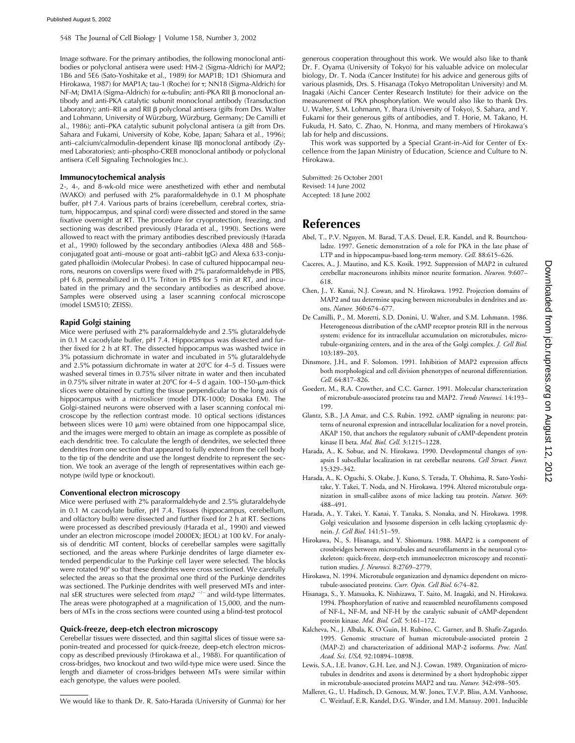548 The Journal of Cell Biology **|** Volume 158, Number 3, 2002

Image software. For the primary antibodies, the following monoclonal antibodies or polyclonal antisera were used: HM-2 (Sigma-Aldrich) for MAP2; 1B6 and 5E6 (Sato-Yoshitake et al., 1989) for MAP1B; 1D1 (Shiomura and Hirokawa, 1987) for MAP1A; tau-1 (Roche) for ; NN18 (Sigma-Aldrich) for NF-M; DM1A (Sigma-Aldrich) for  $\alpha$ -tubulin; anti-PKA RII  $\beta$  monoclonal antibody and anti-PKA catalytic subunit monoclonal antibody (Transduction Laboratory); anti–RII  $\alpha$  and RII  $\beta$  polyclonal antisera (gifts from Drs. Walter and Lohmann, University of Würzburg, Würzburg, Germany; De Camilli et al., 1986); anti–PKA catalytic subunit polyclonal antisera (a gift from Drs. Sahara and Fukami, University of Kobe, Kobe, Japan; Sahara et al., 1996); anti-calcium/calmodulin-dependent kinase II $\beta$  monoclonal antibody (Zymed Laboratories); anti–phospho-CREB monoclonal antibody or polyclonal antisera (Cell Signaling Technologies Inc.).

#### **Immunocytochemical analysis**

2-, 4-, and 8-wk-old mice were anesthetized with ether and nembutal (WAKO) and perfused with 2% paraformaldehyde in 0.1 M phosphate buffer, pH 7.4. Various parts of brains (cerebellum, cerebral cortex, striatum, hippocampus, and spinal cord) were dissected and stored in the same fixative overnight at RT. The procedure for cryoprotection, freezing, and sectioning was described previously (Harada et al., 1990). Sections were allowed to react with the primary antibodies described previously (Harada et al., 1990) followed by the secondary antibodies (Alexa 488 and 568– conjugated goat anti–mouse or goat anti–rabbit IgG) and Alexa 633-conjugated phalloidin (Molecular Probes). In case of cultured hippocampal neurons, neurons on coverslips were fixed with 2% paraformaldehyde in PBS, pH 6.8, permeabilized in 0.1% Triton in PBS for 5 min at RT, and incubated in the primary and the secondary antibodies as described above. Samples were observed using a laser scanning confocal microscope (model LSM510; ZEISS).

#### **Rapid Golgi staining**

Mice were perfused with 2% paraformaldehyde and 2.5% glutaraldehyde in 0.1 M cacodylate buffer, pH 7.4. Hippocampus was dissected and further fixed for 2 h at RT. The dissected hippocampus was washed twice in 3% potassium dichromate in water and incubated in 5% glutaraldehyde and 2.5% potassium dichromate in water at  $20^{\circ}$ C for 4–5 d. Tissues were washed several times in 0.75% silver nitrate in water and then incubated in 0.75% silver nitrate in water at  $20^{\circ}$ C for 4–5 d again. 100–150- $\mu$ m-thick slices were obtained by cutting the tissue perpendicular to the long axis of hippocampus with a microslicer (model DTK-1000; Dosaka EM). The Golgi-stained neurons were observed with a laser scanning confocal microscope by the reflection contrast mode. 10 optical sections (distances between slices were 10  $\mu$ m) were obtained from one hippocampal slice, and the images were merged to obtain an image as complete as possible of each dendritic tree. To calculate the length of dendrites, we selected three dendrites from one section that appeared to fully extend from the cell body to the tip of the dendrite and use the longest dendrite to represent the section. We took an average of the length of representatives within each genotype (wild type or knockout).

#### **Conventional electron microscopy**

Mice were perfused with 2% paraformaldehyde and 2.5% glutaraldehyde in 0.1 M cacodylate buffer, pH 7.4. Tissues (hippocampus, cerebellum, and olfactory bulb) were dissected and further fixed for 2 h at RT. Sections were processed as described previously (Harada et al., 1990) and viewed under an electron microscope (model 2000EX; JEOL) at 100 kV. For analysis of dendritic MT content, blocks of cerebellar samples were sagittally sectioned, and the areas where Purkinje dendrites of large diameter extended perpendicular to the Purkinje cell layer were selected. The blocks were rotated 90° so that these dendrites were cross sectioned. We carefully selected the areas so that the proximal one third of the Purkinje dendrites was sectioned. The Purkinje dendrites with well preserved MTs and internal sER structures were selected from *map2*<sup>-/-</sup> and wild-type littermates. The areas were photographed at a magnification of 15,000, and the numbers of MTs in the cross sections were counted using a blind-test protocol

#### **Quick-freeze, deep-etch electron microscopy**

Cerebellar tissues were dissected, and thin sagittal slices of tissue were saponin-treated and processed for quick-freeze, deep-etch electron microscopy as described previously (Hirokawa et al., 1988). For quantification of cross-bridges, two knockout and two wild-type mice were used. Since the length and diameter of cross-bridges between MTs were similar within each genotype, the values were pooled.

We would like to thank Dr. R. Sato-Harada (University of Gunma) for her

generous cooperation throughout this work. We would also like to thank Dr. F. Oyama (University of Tokyo) for his valuable advice on molecular biology, Dr. T. Noda (Cancer Institute) for his advice and generous gifts of various plasmids, Drs. S. Hisanaga (Tokyo Metropolitan University) and M. Inagaki (Aichi Cancer Center Research Institute) for their advice on the measurement of PKA phosphorylation. We would also like to thank Drs. U. Walter, S.M. Lohmann, Y. Ihara (University of Tokyo), S. Sahara, and Y. Fukami for their generous gifts of antibodies, and T. Horie, M. Takano, H. Fukuda, H. Sato, C. Zhao, N. Honma, and many members of Hirokawa's lab for help and discussions.

This work was supported by a Special Grant-in-Aid for Center of Excellence from the Japan Ministry of Education, Science and Culture to N. Hirokawa.

Submitted: 26 October 2001 Revised: 14 June 2002 Accepted: 18 June 2002

## **References**

- Abel, T., P.V. Nguyen, M. Barad, T.A.S. Deuel, E.R. Kandel, and R. Bourtchouladze. 1997. Genetic demonstration of a role for PKA in the late phase of LTP and in hippocampus-based long-term memory. *Cell.* 88:615–626.
- Caceres, A., J. Mautino, and K.S. Kosik. 1992. Suppression of MAP2 in cultured cerebellar macroneurons inhibits minor neurite formation. *Neuron.* 9:607– 618.
- Chen, J., Y. Kanai, N.J. Cowan, and N. Hirokawa. 1992. Projection domains of MAP2 and tau determine spacing between microtubules in dendrites and axons. *Nature.* 360:674–677.
- De Camilli, P., M. Moretti, S.D. Donini, U. Walter, and S.M. Lohmann. 1986. Heterogeneous distribution of the cAMP receptor protein RII in the nervous system: evidence for its intracellular accumulation on microtubules, microtubule-organizing centers, and in the area of the Golgi complex. *J. Cell Biol.* 103:189–203.
- Dinsmore, J.H., and F. Solomon. 1991. Inhibition of MAP2 expression affects both morphological and cell division phenotypes of neuronal differentiation. *Cell.* 64:817–826.
- Goedert, M., R.A. Crowther, and C.C. Garner. 1991. Molecular characterization of microtubule-associated proteins tau and MAP2. *Trends Neurosci.* 14:193– 199.
- Glantz, S.B., J.A Amat, and C.S. Rubin. 1992. cAMP signaling in neurons: patterns of neuronal expression and intracellular localization for a novel protein, AKAP 150, that anchors the regulatory subunit of cAMP-dependent protein kinase II beta. *Mol. Biol. Cell.* 3:1215–1228.
- Harada, A., K. Sobue, and N. Hirokawa. 1990. Developmental changes of synapsin I subcellular localization in rat cerebellar neurons. *Cell Struct. Funct.* 15:329–342.
- Harada, A., K. Oguchi, S. Okabe, J. Kuno, S. Terada, T. Ohshima, R. Sato-Yoshitake, Y. Takei, T. Noda, and N. Hirokawa. 1994. Altered microtubule organization in small-calibre axons of mice lacking tau protein. *Nature.* 369: 488–491.
- Harada, A., Y. Takei, Y. Kanai, Y. Tanaka, S. Nonaka, and N. Hirokawa. 1998. Golgi vesiculation and lysosome dispersion in cells lacking cytoplasmic dynein. *J. Cell Biol.* 141:51–59.
- Hirokawa, N., S. Hisanaga, and Y. Shiomura. 1988. MAP2 is a component of crossbridges between microtubules and neurofilaments in the neuronal cytoskeleton: quick-freeze, deep-etch immunoelectron microscopy and reconstitution studies. *J. Neurosci.* 8:2769–2779.
- Hirokawa, N. 1994. Microtubule organization and dynamics dependent on microtubule-associated proteins. *Curr. Opin. Cell Biol.* 6:74–82.
- Hisanaga, S., Y. Matsuoka, K. Nishizawa, T. Saito, M. Inagaki, and N. Hirokawa. 1994. Phosphorylation of native and reassembled neurofilaments composed of NF-L, NF-M, and NF-H by the catalytic subunit of cAMP-dependent protein kinase. *Mol. Biol. Cell.* 5:161–172.
- Kalcheva, N., J. Albala, K. O'Guin, H. Rubino, C. Garner, and B. Shafit-Zagardo. 1995. Genomic structure of human microtubule-associated protein 2 (MAP-2) and characterization of additional MAP-2 isoforms. *Proc. Natl. Acad. Sci. USA.* 92:10894–10898.
- Lewis, S.A., I.E. Ivanov, G.H. Lee, and N.J. Cowan. 1989. Organization of microtubules in dendrites and axons is determined by a short hydrophobic zipper in microtubule-associated proteins MAP2 and tau. *Nature.* 342:498–505.
- Malleret, G., U. Haditsch, D. Genoux, M.W. Jones, T.V.P. Bliss, A.M. Vanhoose, C. Weitlauf, E.R. Kandel, D.G. Winder, and I.M. Mansuy. 2001. Inducible